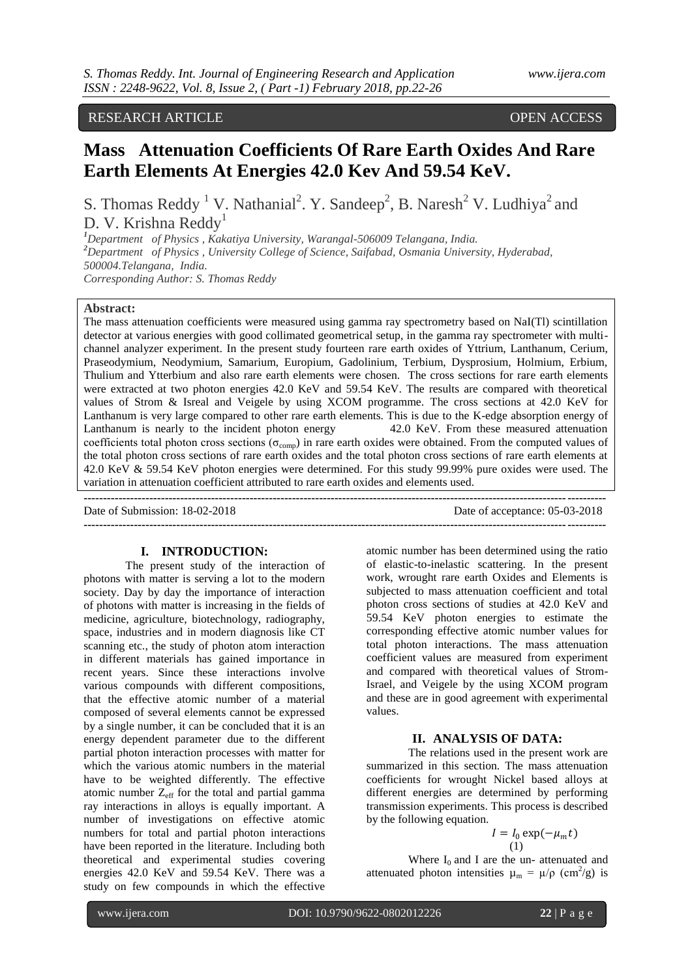RESEARCH ARTICLE OPEN ACCESS

# **Mass Attenuation Coefficients Of Rare Earth Oxides And Rare Earth Elements At Energies 42.0 Kev And 59.54 KeV.**

S. Thomas Reddy<sup>1</sup> V. Nathanial<sup>2</sup>. Y. Sandeep<sup>2</sup>, B. Naresh<sup>2</sup> V. Ludhiya<sup>2</sup> and D. V. Krishna Reddy<sup>1</sup>

*<sup>1</sup>Department of Physics , Kakatiya University, Warangal-506009 Telangana, India. <sup>2</sup>Department of Physics , University College of Science, Saifabad, Osmania University, Hyderabad, 500004.Telangana, India. Corresponding Author: S. Thomas Reddy*

### **Abstract:**

The mass attenuation coefficients were measured using gamma ray spectrometry based on NaI(Tl) scintillation detector at various energies with good collimated geometrical setup, in the gamma ray spectrometer with multichannel analyzer experiment. In the present study fourteen rare earth oxides of Yttrium, Lanthanum, Cerium, Praseodymium, Neodymium, Samarium, Europium, Gadolinium, Terbium, Dysprosium, Holmium, Erbium, Thulium and Ytterbium and also rare earth elements were chosen. The cross sections for rare earth elements were extracted at two photon energies 42.0 KeV and 59.54 KeV. The results are compared with theoretical values of Strom & Isreal and Veigele by using XCOM programme. The cross sections at 42.0 KeV for Lanthanum is very large compared to other rare earth elements. This is due to the K-edge absorption energy of Lanthanum is nearly to the incident photon energy 42.0 KeV. From these measured attenuation coefficients total photon cross sections ( $\sigma_{\rm{comp}}$ ) in rare earth oxides were obtained. From the computed values of the total photon cross sections of rare earth oxides and the total photon cross sections of rare earth elements at 42.0 KeV & 59.54 KeV photon energies were determined. For this study 99.99% pure oxides were used. The variation in attenuation coefficient attributed to rare earth oxides and elements used.

| Date of Submission: 18-02-2018 | Date of acceptance: 05-03-2018 |
|--------------------------------|--------------------------------|
|                                |                                |

## **I. INTRODUCTION:**

The present study of the interaction of photons with matter is serving a lot to the modern society. Day by day the importance of interaction of photons with matter is increasing in the fields of medicine, agriculture, biotechnology, radiography, space, industries and in modern diagnosis like CT scanning etc., the study of photon atom interaction in different materials has gained importance in recent years. Since these interactions involve various compounds with different compositions, that the effective atomic number of a material composed of several elements cannot be expressed by a single number, it can be concluded that it is an energy dependent parameter due to the different partial photon interaction processes with matter for which the various atomic numbers in the material have to be weighted differently. The effective atomic number  $Z_{\text{eff}}$  for the total and partial gamma ray interactions in alloys is equally important. A number of investigations on effective atomic numbers for total and partial photon interactions have been reported in the literature. Including both theoretical and experimental studies covering energies 42.0 KeV and 59.54 KeV. There was a study on few compounds in which the effective

atomic number has been determined using the ratio of elastic-to-inelastic scattering. In the present work, wrought rare earth Oxides and Elements is subjected to mass attenuation coefficient and total photon cross sections of studies at 42.0 KeV and 59.54 KeV photon energies to estimate the corresponding effective atomic number values for total photon interactions. The mass attenuation coefficient values are measured from experiment and compared with theoretical values of Strom-Israel, and Veigele by the using XCOM program and these are in good agreement with experimental values.

#### **II. ANALYSIS OF DATA:**

The relations used in the present work are summarized in this section. The mass attenuation coefficients for wrought Nickel based alloys at different energies are determined by performing transmission experiments. This process is described by the following equation.

$$
I = I_0 \exp(-\mu_m t)
$$
  
(1)

Where  $I_0$  and I are the un- attenuated and attenuated photon intensities  $\mu_m = \mu/\rho$  (cm<sup>2</sup>/g) is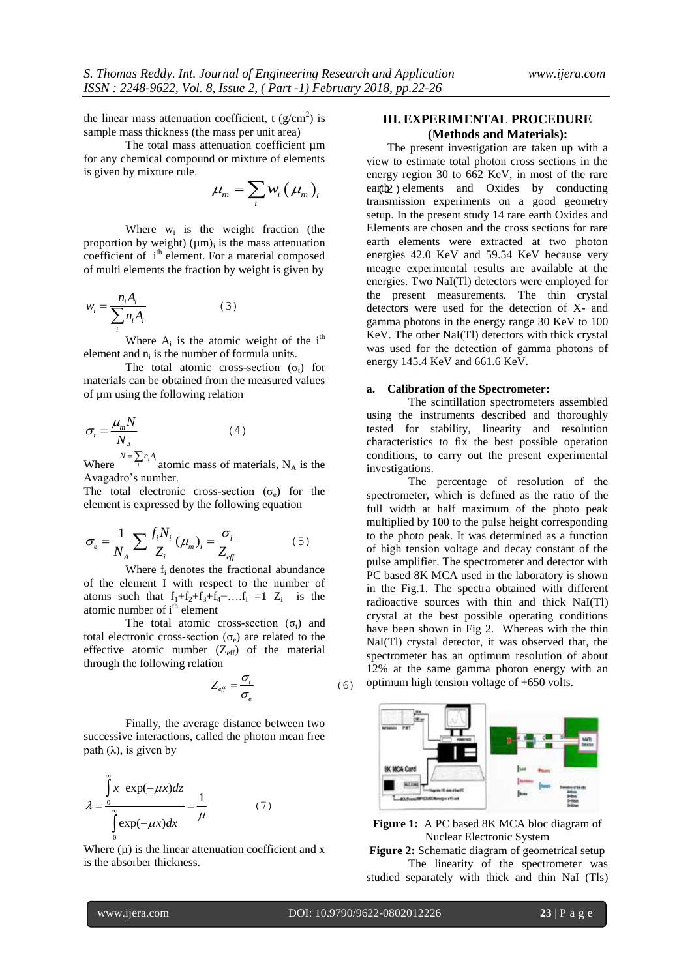the linear mass attenuation coefficient, t  $(g/cm^2)$  is sample mass thickness (the mass per unit area)

The total mass attenuation coefficient  $\mu$ m for any chemical compound or mixture of elements is given by mixture rule.

$$
\mu_m = \sum_i w_i (\mu_m)_i^{\text{energy 1}}
$$
  

$$
\mu_m = \sum_i w_i (\mu_m)_i^{\text{energy 2}}
$$

Where  $w_i$  is the weight fraction (the proportion by weight)  $(\mu m)_i$  is the mass attenuation coefficient of i<sup>th</sup> element. For a material composed of multi elements the fraction by weight is given by

$$
w_i = \frac{n_i A_i}{\sum_i n_i A_i} \tag{3}
$$

Where  $A_i$  is the atomic weight of the i<sup>th</sup> element and  $n_i$  is the number of formula units.

The total atomic cross-section  $(\sigma_t)$  for materials can be obtained from the measured values of µm using the following relation

$$
\sigma_t = \frac{\mu_m N}{N_A} \tag{4}
$$

Where  $^{N = \sum_{i} n_i A_i}$  atomic mass of materials, N<sub>A</sub> is the Avagadro's number.

The total electronic cross-section  $(\sigma_e)$  for the element is expressed by the following equation

$$
\sigma_e = \frac{1}{N_A} \sum \frac{f_i N_i}{Z_i} (\mu_m)_i = \frac{\sigma_i}{Z_{\text{eff}}}
$$
(5)

Where  $f_i$  denotes the fractional abundance of the element I with respect to the number of atoms such that  $f_1+f_2+f_3+f_4+\ldots f_i = 1$   $Z_i$  is the atomic number of i<sup>th</sup> element

The total atomic cross-section  $(\sigma_t)$  and total electronic cross-section  $(\sigma_e)$  are related to the effective atomic number  $(Z_{\text{eff}})$  of the material through the following relation

$$
Z_{\text{eff}} = \frac{\sigma_{t}}{\sigma_{e}} \tag{6}
$$

Finally, the average distance between two successive interactions, called the photon mean free path  $(\lambda)$ , is given by

$$
\lambda = \frac{\int_{0}^{\infty} x \exp(-\mu x) dz}{\int_{0}^{\infty} \exp(-\mu x) dx} = \frac{1}{\mu}
$$
 (7)

Where  $(\mu)$  is the linear attenuation coefficient and x is the absorber thickness.

## **III. EXPERIMENTAL PROCEDURE (Methods and Materials):**

The present investigation are taken up with a view to estimate total photon cross sections in the energy region 30 to 662 KeV, in most of the rare earth elements and Oxides by conducting transmission experiments on a good geometry setup. In the present study 14 rare earth Oxides and Elements are chosen and the cross sections for rare earth elements were extracted at two photon energies 42.0 KeV and 59.54 KeV because very meagre experimental results are available at the energies. Two NaI(Tl) detectors were employed for the present measurements. The thin crystal detectors were used for the detection of X- and gamma photons in the energy range 30 KeV to 100 KeV. The other NaI(Tl) detectors with thick crystal was used for the detection of gamma photons of energy 145.4 KeV and 661.6 KeV.

## **a. Calibration of the Spectrometer:**

The scintillation spectrometers assembled using the instruments described and thoroughly tested for stability, linearity and resolution characteristics to fix the best possible operation conditions, to carry out the present experimental investigations.

The percentage of resolution of the spectrometer, which is defined as the ratio of the full width at half maximum of the photo peak multiplied by 100 to the pulse height corresponding to the photo peak. It was determined as a function of high tension voltage and decay constant of the pulse amplifier. The spectrometer and detector with PC based 8K MCA used in the laboratory is shown in the Fig.1. The spectra obtained with different radioactive sources with thin and thick NaI(Tl) crystal at the best possible operating conditions have been shown in Fig 2. Whereas with the thin NaI(Tl) crystal detector, it was observed that, the spectrometer has an optimum resolution of about 12% at the same gamma photon energy with an optimum high tension voltage of +650 volts.



**Figure 1:** A PC based 8K MCA bloc diagram of Nuclear Electronic System

**Figure 2:** Schematic diagram of geometrical setup The linearity of the spectrometer was

studied separately with thick and thin NaI (Tls)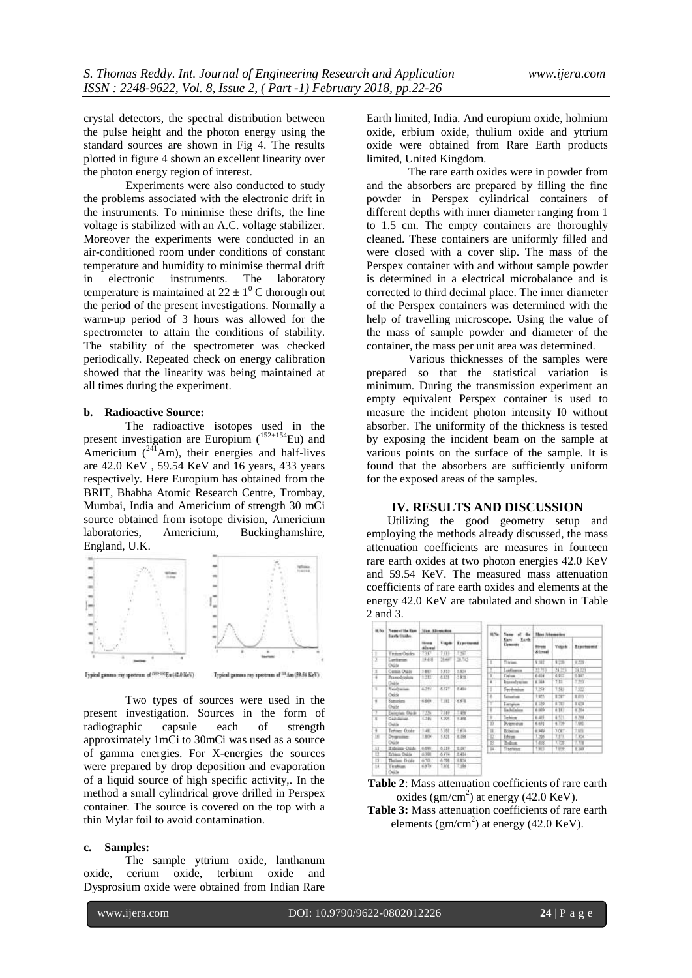crystal detectors, the spectral distribution between the pulse height and the photon energy using the standard sources are shown in Fig 4. The results plotted in figure 4 shown an excellent linearity over the photon energy region of interest.

Experiments were also conducted to study the problems associated with the electronic drift in the instruments. To minimise these drifts, the line voltage is stabilized with an A.C. voltage stabilizer. Moreover the experiments were conducted in an air-conditioned room under conditions of constant temperature and humidity to minimise thermal drift in electronic instruments. The laboratory temperature is maintained at  $22 \pm 1^0$  C thorough out the period of the present investigations. Normally a warm-up period of 3 hours was allowed for the spectrometer to attain the conditions of stability. The stability of the spectrometer was checked periodically. Repeated check on energy calibration showed that the linearity was being maintained at all times during the experiment.

## **b. Radioactive Source:**

The radioactive isotopes used in the present investigation are Europium  $(152+154)$  Eu) and Americium  $(^{241}Am)$ , their energies and half-lives are  $42.0 \text{ KeV}$ ,  $59.54 \text{ KeV}$  and  $16 \text{ years}$ ,  $433 \text{ years}$ respectively. Here Europium has obtained from the BRIT, Bhabha Atomic Research Centre, Trombay, Mumbai, India and Americium of strength 30 mCi source obtained from isotope division, Americium laboratories, Americium, Buckinghamshire, England, U.K.



Typical gamma ray spectrum of <sup>(1994)</sup> Eu (42.0 KeV)

Typical gamma ray spectrum of <sup>10</sup>Am (\$9.54 KeV).

Two types of sources were used in the present investigation. Sources in the form of radiographic capsule each of strength approximately 1mCi to 30mCi was used as a source of gamma energies. For X-energies the sources were prepared by drop deposition and evaporation of a liquid source of high specific activity,. In the method a small cylindrical grove drilled in Perspex container. The source is covered on the top with a thin Mylar foil to avoid contamination.

#### **c. Samples:**

The sample yttrium oxide, lanthanum oxide, cerium oxide, terbium oxide and Dysprosium oxide were obtained from Indian Rare Earth limited, India. And europium oxide, holmium oxide, erbium oxide, thulium oxide and yttrium oxide were obtained from Rare Earth products limited, United Kingdom.

The rare earth oxides were in powder from and the absorbers are prepared by filling the fine powder in Perspex cylindrical containers of different depths with inner diameter ranging from 1 to 1.5 cm. The empty containers are thoroughly cleaned. These containers are uniformly filled and were closed with a cover slip. The mass of the Perspex container with and without sample powder is determined in a electrical microbalance and is corrected to third decimal place. The inner diameter of the Perspex containers was determined with the help of travelling microscope. Using the value of the mass of sample powder and diameter of the container, the mass per unit area was determined.

Various thicknesses of the samples were prepared so that the statistical variation is minimum. During the transmission experiment an empty equivalent Perspex container is used to measure the incident photon intensity I0 without absorber. The uniformity of the thickness is tested by exposing the incident beam on the sample at various points on the surface of the sample. It is found that the absorbers are sufficiently uniform for the exposed areas of the samples.

# **IV. RESULTS AND DISCUSSION**

Utilizing the good geometry setup and employing the methods already discussed, the mass attenuation coefficients are measures in fourteen rare earth oxides at two photon energies 42.0 KeV and 59.54 KeV. The measured mass attenuation coefficients of rare earth oxides and elements at the energy 42.0 KeV are tabulated and shown in Table 2 and 3.

| <b>BLNs</b> | <b>Nems of the Rass</b><br><b>Barth Occupes</b><br>アクススーツ<br><b>Renet Online</b> | Mass Allowation                |                             |                            | SS.<br>XI Ya | Name<br>of the                                | <b>Tätyi Athenaetics</b>           |                 |                                   |  |
|-------------|----------------------------------------------------------------------------------|--------------------------------|-----------------------------|----------------------------|--------------|-----------------------------------------------|------------------------------------|-----------------|-----------------------------------|--|
|             |                                                                                  | <b>Nices</b><br><b>Aineral</b> | <b><i><u>Lyngde</u></i></b> | <b>Transmooth</b><br>1997. | m<br>11      | <b>Tards</b><br>Kans.<br>Elements<br>Yestern. | <b>Blanche</b><br>Stressi<br>9.582 | Vergels<br>\$28 | .<br><b>Experimental</b><br>9,239 |  |
|             |                                                                                  | 7397                           | W.                          |                            |              |                                               |                                    |                 |                                   |  |
|             | Lankaron<br>Oslda                                                                | 19.438                         | 39,687                      | 38.745                     | I.           |                                               |                                    |                 |                                   |  |
| Ξ           | Century Out-de                                                                   | 3,663                          | 5,953                       | 5.574                      |              | adiance                                       | 39.763                             | 34 TH           | 34.729                            |  |
| x           | Prancodytesium<br><b>Childe</b>                                                  | 2.712                          | 6.825                       | 5.958.<br><b>CENT</b>      | х            | <b>Cyduas</b>                                 | 6.514                              | 6.933           | 6.997                             |  |
|             |                                                                                  |                                |                             |                            | x            | <b>Number</b>                                 | 6.364                              | 111             | 7213                              |  |
| 1           | <b><i><u>New Oranisans</u></i></b>                                               | 6.395                          | る打打                         | 6.410                      | J            | Seydvision                                    | 129                                | 198             | 7512                              |  |
|             | Oulde                                                                            |                                |                             |                            | ö            | Senatore                                      | 1:315                              | 1237            | 1.819                             |  |
| Ŧ           | Samuskers<br>Duide                                                               | 6,989                          | <b>TIHT</b>                 | 6378                       |              | Europeen                                      | 1.356                              | TW              | 文献                                |  |
|             | Escleption: Chicago                                                              | 7.735                          | 7.589                       | 335                        | 1            | <b>Tachdalone</b>                             | 1.995                              | 6.183           | 4.364                             |  |
| ï           | Gabolisium.<br>Outde                                                             | 1.346                          | 1,795                       | 1.468                      | s            | letton                                        | 6.489                              | 4.521           | 6,368                             |  |
|             |                                                                                  |                                |                             |                            | $10 -$       | Diviennelum                                   | 6.631                              | 4.739           | 7,660                             |  |
| ÷           | Tertines: Oxida                                                                  | 3.481                          | 5,388                       | $+874$                     | $_{11}$      | <b>Boleman</b>                                | 6349                               | <b>30ET</b>     | 78日                               |  |
| 16          | Dramster.<br>Osicle                                                              | 1,800                          | 5,828                       | 6,186                      | 12           | Eddam                                         | 1.3%                               | TIN             | T.KN                              |  |
|             |                                                                                  |                                |                             |                            | 13           | <b>habon</b>                                  | 148                                | 1,728           | 7.118                             |  |
| $_{\rm II}$ | <b>Trining Outs</b>                                                              | 0.998                          | 6.739                       | 6.07                       | 34           | <b>Yrighing</b>                               | 1903                               | 1998            | 8,149                             |  |
| IJ          | <b>Erblers</b> Oxide                                                             | 6.398                          | 6.474                       | 6.414                      |              |                                               |                                    |                 |                                   |  |
| E           | Thillen Dolds:                                                                   | 6708                           | 6.798                       | 6.834                      |              |                                               |                                    |                 |                                   |  |
| 54          | Freburn.<br>---                                                                  | 6391                           | <b>SMOK</b>                 | 7.386                      |              |                                               |                                    |                 |                                   |  |

**Table 2**: Mass attenuation coefficients of rare earth oxides  $(gm/cm<sup>2</sup>)$  at energy (42.0 KeV). **Table 3:** Mass attenuation coefficients of rare earth elements  $(gm/cm<sup>2</sup>)$  at energy (42.0 KeV).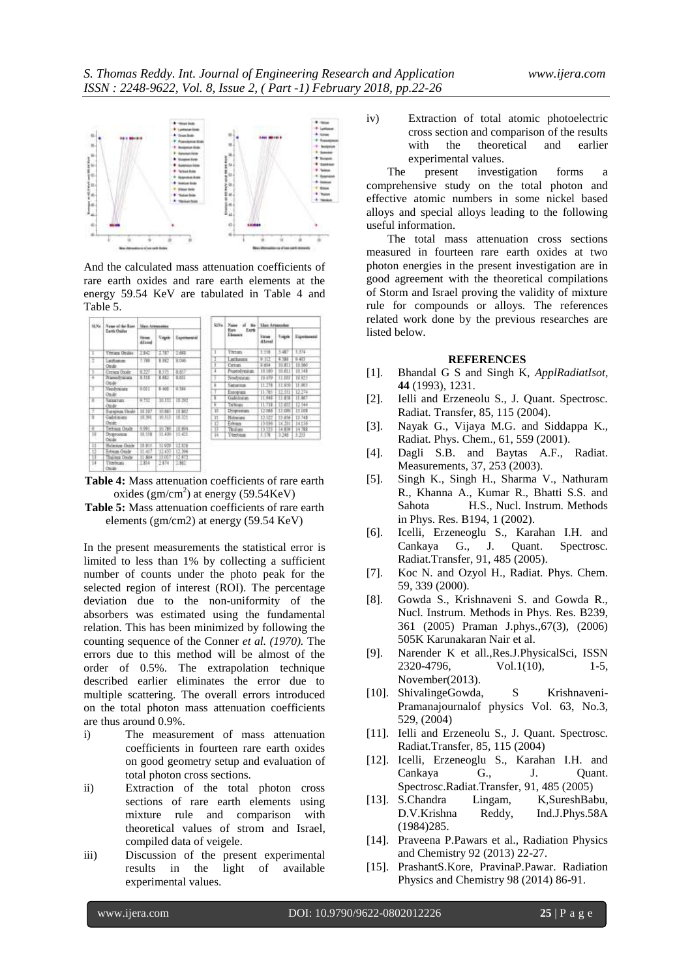

And the calculated mass attenuation coefficients of rare earth oxides and rare earth elements at the energy 59.54 KeV are tabulated in Table 4 and Table 5.

| ILX+           | Name of the River<br><b>Lath Ositur</b> | <b>Siria and Lis</b><br><b>Mark Attressies</b> |           |              | 515%        | Name of the                           | <b>They Attenuates</b>         |         |            |  |
|----------------|-----------------------------------------|------------------------------------------------|-----------|--------------|-------------|---------------------------------------|--------------------------------|---------|------------|--|
|                |                                         | Street<br><b>Alanak</b>                        | Vegele    | Exteriorated |             | Rev.<br><b>Tark</b><br>Elements<br>n. | <b>Estate</b><br><b>Alexal</b> | Vegale  | Elginianus |  |
| γ              | <b>Tiriga</b> Orides                    | TKU                                            | T.NT      | TBIT         | T           | Tittan                                | 1.198                          | 3.407   | 3.374      |  |
| Ξ              | Lettuson                                | 7.788                                          | 1.162     | 8.046        | æ           | <b>Inchession</b>                     | <b>RID</b>                     | 4.39    | 240        |  |
|                | Osida                                   |                                                |           |              | X.          | Certain                               | <b>T.854</b>                   | 10.813  | 15, 860    |  |
|                | <b>Cerion Oxide</b>                     | \$127                                          | 8.575     | 本加工          | ×           | Praetedynature                        | 10.18                          | 10.653  | 19.548     |  |
| Ŗ              | <b>Transdession</b>                     | TITL                                           | THE       | <b>TATI</b>  | s           | Newbritistian                         | 13.679                         | 11.00   | 18.925     |  |
|                | Crode:                                  |                                                |           |              | ï           | Senatrus                              | 11.231                         | 11.950  | 11.983     |  |
| ų              | Neodynauty                              | <b>WILL</b>                                    | 1400 1314 |              |             | Executions                            | 11.765                         | ET 55   | 12.21a     |  |
|                | Onde                                    |                                                |           |              | х           | GAMSNOR                               | 11.948                         | 11.858  | 11.867     |  |
| π              | Greetum<br>Oride                        | 9.757                                          | 10.111    | 10.503       | ÷           | Technico                              | 11.719                         |         | 12.544     |  |
| Æ              | European Oxide                          | 32.187                                         | 10.885    | 18.852       | Ŵ           | Dyspresses                            | 12.086                         | 1.1.090 | 15.108     |  |
| 苫              | Calolinas                               | 15-901                                         | 30,313    | 16.9%        | $_{\rm 11}$ | Holmoga                               | 12.577                         | 13,856  | 13.74B     |  |
|                | Online                                  |                                                |           |              | 32          | Erlmen                                | 13.006                         | 14, 20  | 14.156     |  |
| $\overline{Q}$ | whista Draft                            | 0.081                                          | 90.789    | 10,004       | π           | Ticaliani                             | 13                             | 14.83   | 14788      |  |
| Ħ              | Dygrootes .<br><b>Colde</b>             | 11.531                                         | 11.400    | 11.411       | 14          | <b>Titebean</b>                       | 3.178                          | 7.346   | $+39$      |  |
| Ή              | <b>Holmson Oxide</b>                    | 11:455                                         | TL929     | 12.839       |             |                                       |                                |         |            |  |
| 12             | Edvices Orade                           | 11.417                                         | 12.435    | 12.398       |             |                                       |                                |         |            |  |
| Tī             | Tolling Dobr                            | 11,654                                         | 11.057    | 13 613       |             |                                       |                                |         |            |  |
| π              | Territoria<br>Onida                     | 1.854                                          | 2.674     | 2,882        |             |                                       |                                |         |            |  |



**Table 5:** Mass attenuation coefficients of rare earth elements (gm/cm2) at energy (59.54 KeV)

In the present measurements the statistical error is limited to less than 1% by collecting a sufficient number of counts under the photo peak for the selected region of interest (ROI). The percentage deviation due to the non-uniformity of the absorbers was estimated using the fundamental relation. This has been minimized by following the counting sequence of the Conner *et al. (1970).* The errors due to this method will be almost of the order of 0.5%. The extrapolation technique described earlier eliminates the error due to multiple scattering. The overall errors introduced on the total photon mass attenuation coefficients are thus around 0.9%.

- i) The measurement of mass attenuation coefficients in fourteen rare earth oxides on good geometry setup and evaluation of total photon cross sections.
- ii) Extraction of the total photon cross sections of rare earth elements using mixture rule and comparison with theoretical values of strom and Israel, compiled data of veigele.
- iii) Discussion of the present experimental results in the light of available experimental values.

iv) Extraction of total atomic photoelectric cross section and comparison of the results with the theoretical and earlier experimental values.

The present investigation forms a comprehensive study on the total photon and effective atomic numbers in some nickel based alloys and special alloys leading to the following useful information.

The total mass attenuation cross sections measured in fourteen rare earth oxides at two photon energies in the present investigation are in good agreement with the theoretical compilations of Storm and Israel proving the validity of mixture rule for compounds or alloys. The references related work done by the previous researches are listed below.

### **REFERENCES**

- [1]. Bhandal G S and Singh K, *ApplRadiatIsot,*  **44** (1993), 1231.
- [2]. Ielli and Erzeneolu S., J. Quant. Spectrosc. Radiat. Transfer, 85, 115 (2004).
- [3]. Nayak G., Vijaya M.G. and Siddappa K., Radiat. Phys. Chem., 61, 559 (2001).
- [4]. Dagli S.B. and Baytas A.F., Radiat. Measurements, 37, 253 (2003).
- [5]. Singh K., Singh H., Sharma V., Nathuram R., Khanna A., Kumar R., Bhatti S.S. and Sahota H.S., Nucl. Instrum. Methods in Phys. Res. B194, 1 (2002).
- [6]. Icelli, Erzeneoglu S., Karahan I.H. and Cankaya G., J. Quant. Spectrosc. Radiat.Transfer, 91, 485 (2005).
- [7]. Koc N. and Ozyol H., Radiat. Phys. Chem. 59, 339 (2000).
- [8]. Gowda S., Krishnaveni S. and Gowda R., Nucl. Instrum. Methods in Phys. Res. B239, 361 (2005) Praman J.phys.,67(3), (2006) 505K Karunakaran Nair et al.
- [9]. Narender K et all.,Res.J.PhysicalSci, ISSN 2320-4796, Vol.1(10), 1-5, November(2013).
- [10]. ShivalingeGowda, S Krishnaveni-Pramanajournalof physics Vol. 63, No.3, 529, (2004)
- [11]. Ielli and Erzeneolu S., J. Quant. Spectrosc. Radiat.Transfer, 85, 115 (2004)
- [12]. Icelli, Erzeneoglu S., Karahan I.H. and Cankaya G., J. Quant. Spectrosc.Radiat.Transfer, 91, 485 (2005)
- [13]. S.Chandra Lingam, K,SureshBabu, D.V.Krishna Reddy, Ind.J.Phys.58A (1984)285.
- [14]. Praveena P.Pawars et al., Radiation Physics and Chemistry 92 (2013) 22-27.
- [15]. PrashantS.Kore, PravinaP.Pawar. Radiation Physics and Chemistry 98 (2014) 86-91.